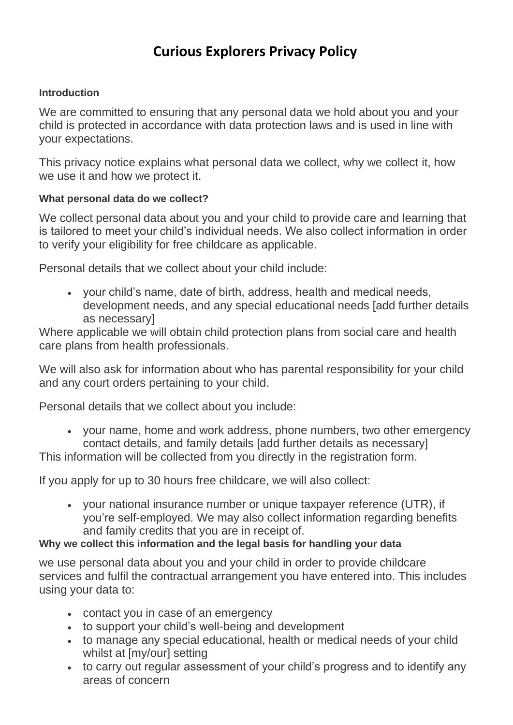# **Curious Explorers Privacy Policy**

#### **Introduction**

We are committed to ensuring that any personal data we hold about you and your child is protected in accordance with data protection laws and is used in line with your expectations.

This privacy notice explains what personal data we collect, why we collect it, how we use it and how we protect it.

#### **What personal data do we collect?**

We collect personal data about you and your child to provide care and learning that is tailored to meet your child's individual needs. We also collect information in order to verify your eligibility for free childcare as applicable.

Personal details that we collect about your child include:

• your child's name, date of birth, address, health and medical needs, development needs, and any special educational needs [add further details as necessary]

Where applicable we will obtain child protection plans from social care and health care plans from health professionals.

We will also ask for information about who has parental responsibility for your child and any court orders pertaining to your child.

Personal details that we collect about you include:

• your name, home and work address, phone numbers, two other emergency contact details, and family details [add further details as necessary]

This information will be collected from you directly in the registration form.

If you apply for up to 30 hours free childcare, we will also collect:

• your national insurance number or unique taxpayer reference (UTR), if you're self-employed. We may also collect information regarding benefits and family credits that you are in receipt of.

### **Why we collect this information and the legal basis for handling your data**

we use personal data about you and your child in order to provide childcare services and fulfil the contractual arrangement you have entered into. This includes using your data to:

- contact you in case of an emergency
- to support your child's well-being and development
- to manage any special educational, health or medical needs of your child whilst at [my/our] setting
- to carry out regular assessment of your child's progress and to identify any areas of concern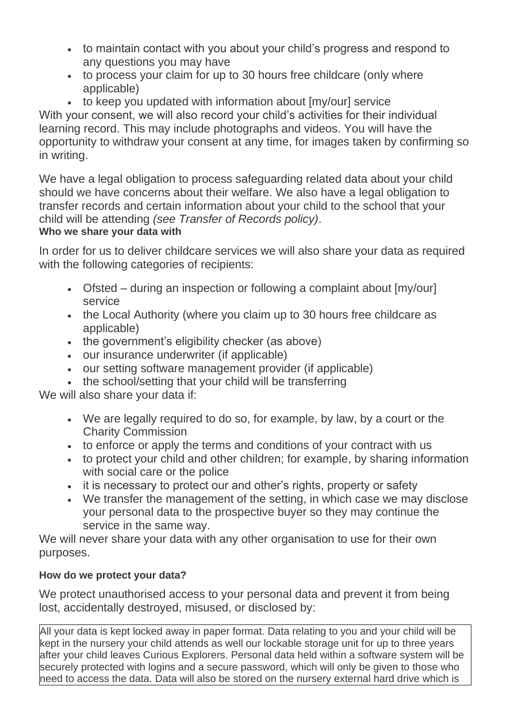- to maintain contact with you about your child's progress and respond to any questions you may have
- to process your claim for up to 30 hours free childcare (only where applicable)
- to keep you updated with information about [my/our] service

With your consent, we will also record your child's activities for their individual learning record. This may include photographs and videos. You will have the opportunity to withdraw your consent at any time, for images taken by confirming so in writing.

We have a legal obligation to process safeguarding related data about your child should we have concerns about their welfare. We also have a legal obligation to transfer records and certain information about your child to the school that your child will be attending *(see Transfer of Records policy)*.

## **Who we share your data with**

In order for us to deliver childcare services we will also share your data as required with the following categories of recipients:

- Ofsted during an inspection or following a complaint about [my/our] service
- the Local Authority (where you claim up to 30 hours free childcare as applicable)
- the government's eligibility checker (as above)
- our insurance underwriter (if applicable)
- our setting software management provider (if applicable)
- the school/setting that your child will be transferring

We will also share your data if:

- We are legally required to do so, for example, by law, by a court or the Charity Commission
- to enforce or apply the terms and conditions of your contract with us
- to protect your child and other children; for example, by sharing information with social care or the police
- it is necessary to protect our and other's rights, property or safety
- We transfer the management of the setting, in which case we may disclose your personal data to the prospective buyer so they may continue the service in the same way.

We will never share your data with any other organisation to use for their own purposes.

# **How do we protect your data?**

We protect unauthorised access to your personal data and prevent it from being lost, accidentally destroyed, misused, or disclosed by:

All your data is kept locked away in paper format. Data relating to you and your child will be kept in the nursery your child attends as well our lockable storage unit for up to three years after your child leaves Curious Explorers. Personal data held within a software system will be securely protected with logins and a secure password, which will only be given to those who need to access the data. Data will also be stored on the nursery external hard drive which is